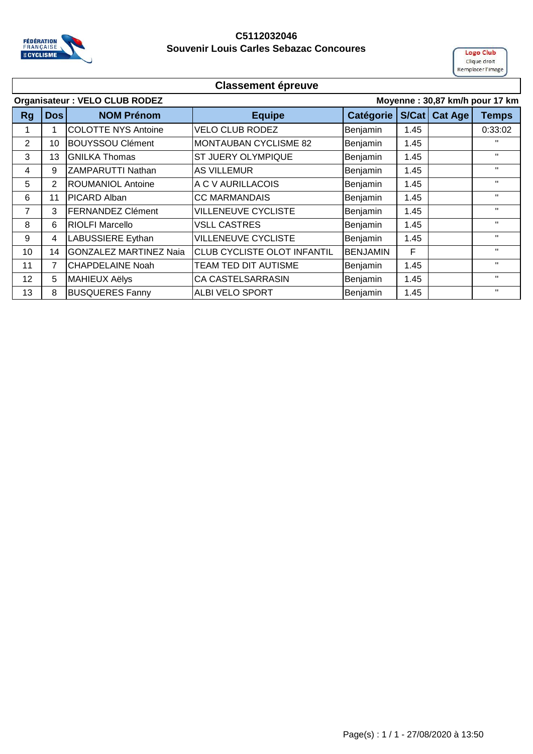

### **C5112032046 Souvenir Louis Carles Sebazac Concoures**

**Logo Club** Clique droit Remplacer l'image

|    | Moyenne: 30,87 km/h pour 17 km<br><b>Organisateur: VELO CLUB RODEZ</b> |                               |                              |                  |       |                |              |
|----|------------------------------------------------------------------------|-------------------------------|------------------------------|------------------|-------|----------------|--------------|
| Rg | Dos                                                                    | <b>NOM Prénom</b>             | <b>Equipe</b>                | <b>Catégorie</b> | S/Cat | <b>Cat Age</b> | <b>Temps</b> |
| 1  | 1                                                                      | <b>COLOTTE NYS Antoine</b>    | <b>VELO CLUB RODEZ</b>       | Benjamin         | 1.45  |                | 0:33:02      |
| 2  | 10                                                                     | <b>BOUYSSOU Clément</b>       | <b>MONTAUBAN CYCLISME 82</b> | Benjamin         | 1.45  |                | $\mathbf{H}$ |
| 3  | 13                                                                     | <b>GNILKA Thomas</b>          | ST JUERY OLYMPIQUE           | Benjamin         | 1.45  |                | $\mathbf{H}$ |
| 4  | 9                                                                      | <b>ZAMPARUTTI Nathan</b>      | <b>AS VILLEMUR</b>           | Benjamin         | 1.45  |                | $\mathbf{H}$ |
| 5  | 2                                                                      | <b>ROUMANIOL Antoine</b>      | A C V AURILLACOIS            | Benjamin         | 1.45  |                | $\mathbf{H}$ |
| 6  | 11                                                                     | PICARD Alban                  | <b>CC MARMANDAIS</b>         | Benjamin         | 1.45  |                | $\mathbf{H}$ |
| 7  | 3                                                                      | <b>FERNANDEZ Clément</b>      | <b>VILLENEUVE CYCLISTE</b>   | Benjamin         | 1.45  |                | $\mathbf{H}$ |
| 8  | 6                                                                      | <b>RIOLFI Marcello</b>        | <b>VSLL CASTRES</b>          | Benjamin         | 1.45  |                | $\mathbf{H}$ |
| 9  | 4                                                                      | <b>LABUSSIERE Eythan</b>      | <b>VILLENEUVE CYCLISTE</b>   | Benjamin         | 1.45  |                | $\mathbf{H}$ |
| 10 | 14                                                                     | <b>GONZALEZ MARTINEZ Naia</b> | CLUB CYCLISTE OLOT INFANTIL  | <b>BENJAMIN</b>  | F     |                | $\mathbf{H}$ |
| 11 | $\overline{7}$                                                         | <b>CHAPDELAINE Noah</b>       | TEAM TED DIT AUTISME         | Benjamin         | 1.45  |                | $\mathbf{H}$ |
| 12 | 5                                                                      | <b>MAHIEUX Aëlys</b>          | CA CASTELSARRASIN            | Benjamin         | 1.45  |                | $\mathbf{H}$ |
| 13 | 8                                                                      | <b>BUSQUERES Fanny</b>        | ALBI VELO SPORT              | Benjamin         | 1.45  |                | $\mathbf{H}$ |
|    |                                                                        |                               |                              |                  |       |                |              |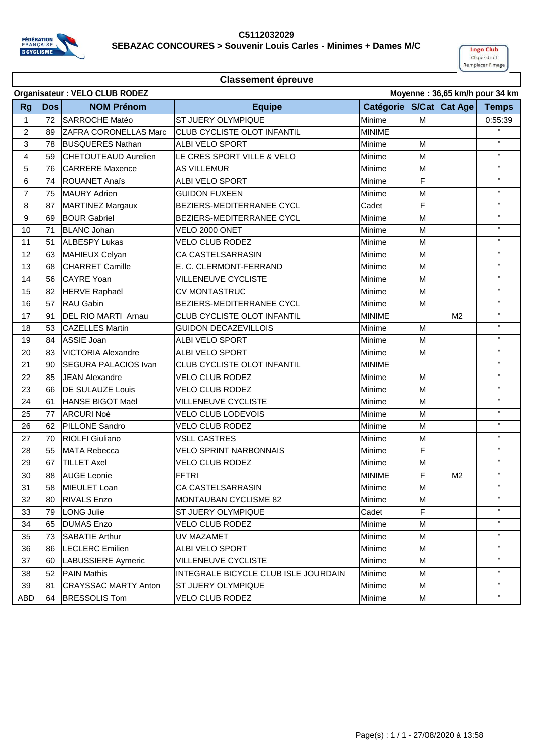

#### **C5112032029 SEBAZAC CONCOURES > Souvenir Louis Carles - Minimes + Dames M/C**



|                | Organisateur : VELO CLUB RODEZ<br>Moyenne: 36,65 km/h pour 34 km |                              |                                      |               |             |                 |                           |
|----------------|------------------------------------------------------------------|------------------------------|--------------------------------------|---------------|-------------|-----------------|---------------------------|
| <b>Rg</b>      | <b>Dos</b>                                                       | <b>NOM Prénom</b>            | <b>Equipe</b>                        | Catégorie     |             | S/Cat   Cat Age | <b>Temps</b>              |
| 1              | 72                                                               | <b>SARROCHE Matéo</b>        | ST JUERY OLYMPIQUE                   | Minime        | M           |                 | 0:55:39                   |
| $\overline{2}$ | 89                                                               | <b>ZAFRA CORONELLAS Marc</b> | <b>CLUB CYCLISTE OLOT INFANTIL</b>   | <b>MINIME</b> |             |                 | $\mathbf{H}$              |
| 3              | 78                                                               | <b>BUSQUERES Nathan</b>      | ALBI VELO SPORT                      | Minime        | M           |                 | $\mathbf H$               |
| 4              | 59                                                               | <b>CHETOUTEAUD Aurelien</b>  | LE CRES SPORT VILLE & VELO           | Minime        | М           |                 | $\mathbf{H}$              |
| 5              | 76                                                               | <b>CARRERE Maxence</b>       | <b>AS VILLEMUR</b>                   | Minime        | M           |                 | $\mathbf{H}$              |
| 6              | 74                                                               | <b>ROUANET Anaïs</b>         | ALBI VELO SPORT                      | Minime        | $\mathsf F$ |                 | $\mathbf{H}$              |
| 7              | 75                                                               | <b>MAURY Adrien</b>          | <b>GUIDON FUXEEN</b>                 | Minime        | M           |                 | $\mathbf{H}$              |
| 8              | 87                                                               | <b>MARTINEZ Margaux</b>      | <b>BEZIERS-MEDITERRANEE CYCL</b>     | Cadet         | F           |                 | $\mathbf{H}$              |
| 9              | 69                                                               | <b>BOUR Gabriel</b>          | <b>BEZIERS-MEDITERRANEE CYCL</b>     | Minime        | M           |                 | $\mathbf{H}$              |
| 10             | 71                                                               | <b>BLANC Johan</b>           | VELO 2000 ONET                       | Minime        | M           |                 | $\boldsymbol{\mathsf{H}}$ |
| 11             | 51                                                               | <b>ALBESPY Lukas</b>         | <b>VELO CLUB RODEZ</b>               | Minime        | м           |                 | $\mathbf H$               |
| 12             | 63                                                               | <b>MAHIEUX Celyan</b>        | CA CASTELSARRASIN                    | Minime        | M           |                 | $\mathbf{H}$              |
| 13             | 68                                                               | <b>CHARRET Camille</b>       | E. C. CLERMONT-FERRAND               | Minime        | M           |                 | $\mathbf{H}$              |
| 14             | 56                                                               | <b>CAYRE Yoan</b>            | <b>VILLENEUVE CYCLISTE</b>           | Minime        | M           |                 | $\mathbf{H}$              |
| 15             | 82                                                               | <b>HERVE Raphaël</b>         | <b>CV MONTASTRUC</b>                 | Minime        | M           |                 | $\mathbf{H}$              |
| 16             | 57                                                               | RAU Gabin                    | BEZIERS-MEDITERRANEE CYCL            | Minime        | M           |                 | $\mathbf{H}$              |
| 17             | 91                                                               | <b>DEL RIO MARTI Arnau</b>   | CLUB CYCLISTE OLOT INFANTIL          | <b>MINIME</b> |             | M <sub>2</sub>  | $\mathbf{H}$              |
| 18             | 53                                                               | <b>CAZELLES Martin</b>       | <b>GUIDON DECAZEVILLOIS</b>          | Minime        | м           |                 | $\mathbf{H}$              |
| 19             | 84                                                               | <b>ASSIE Joan</b>            | ALBI VELO SPORT                      | Minime        | м           |                 | $\mathbf{H}$              |
| 20             | 83                                                               | <b>VICTORIA Alexandre</b>    | <b>ALBI VELO SPORT</b>               | Minime        | M           |                 | $\bar{\mathbf{H}}$        |
| 21             | 90                                                               | <b>SEGURA PALACIOS Ivan</b>  | CLUB CYCLISTE OLOT INFANTIL          | <b>MINIME</b> |             |                 | $\mathbf{H}$              |
| 22             | 85                                                               | <b>JEAN Alexandre</b>        | <b>VELO CLUB RODEZ</b>               | Minime        | M           |                 | $\mathbf{H}$              |
| 23             | 66                                                               | <b>DE SULAUZE Louis</b>      | <b>VELO CLUB RODEZ</b>               | Minime        | M           |                 | $\mathbf{H}$              |
| 24             | 61                                                               | HANSE BIGOT Maël             | <b>VILLENEUVE CYCLISTE</b>           | Minime        | M           |                 | $\mathbf{H}$              |
| 25             | 77                                                               | <b>ARCURI Noé</b>            | <b>VELO CLUB LODEVOIS</b>            | Minime        | M           |                 | $\mathbf{H}$              |
| 26             | 62                                                               | <b>PILLONE Sandro</b>        | <b>VELO CLUB RODEZ</b>               | Minime        | М           |                 | $\mathbf{H}$              |
| 27             | 70                                                               | <b>RIOLFI</b> Giuliano       | <b>VSLL CASTRES</b>                  | Minime        | м           |                 | $\mathbf{H}$              |
| 28             | 55                                                               | <b>MATA Rebecca</b>          | <b>VELO SPRINT NARBONNAIS</b>        | Minime        | F           |                 | $\mathbf{H}$              |
| 29             | 67                                                               | <b>TILLET Axel</b>           | <b>VELO CLUB RODEZ</b>               | Minime        | M           |                 | $\mathbf{H}$              |
| 30             | 88                                                               | <b>AUGE Leonie</b>           | <b>FFTRI</b>                         | <b>MINIME</b> | F           | M <sub>2</sub>  | $\mathbf{H}$              |
| 31             | 58                                                               | MIEULET Loan                 | CA CASTELSARRASIN                    | Minime        | M           |                 | $\mathbf{H}$              |
| 32             | 80                                                               | <b>RIVALS Enzo</b>           | MONTAUBAN CYCLISME 82                | Minime        | M           |                 | $\mathbf{H}$              |
| 33             | 79                                                               | <b>LONG Julie</b>            | ST JUERY OLYMPIQUE                   | Cadet         | F           |                 | $\mathbf{H}$              |
| 34             | 65                                                               | <b>DUMAS Enzo</b>            | VELO CLUB RODEZ                      | Minime        | м           |                 | $\mathbf{H}$              |
| 35             | 73                                                               | <b>SABATIE Arthur</b>        | UV MAZAMET                           | Minime        | м           |                 | $\mathbf{H}$              |
| 36             | 86                                                               | <b>LECLERC</b> Emilien       | ALBI VELO SPORT                      | Minime        | M           |                 | $\mathbf{H}$              |
| 37             | 60                                                               | <b>LABUSSIERE Aymeric</b>    | <b>VILLENEUVE CYCLISTE</b>           | Minime        | M           |                 | $\mathbf{H}$              |
| 38             | 52                                                               | <b>PAIN Mathis</b>           | INTEGRALE BICYCLE CLUB ISLE JOURDAIN | Minime        | М           |                 | $\mathbf{H}$              |
| 39             | 81                                                               | <b>CRAYSSAC MARTY Anton</b>  | ST JUERY OLYMPIQUE                   | Minime        | M           |                 | $\mathbf{H}$              |
| ABD            | 64                                                               | <b>BRESSOLIS Tom</b>         | <b>VELO CLUB RODEZ</b>               | Minime        | M           |                 | $\mathbf{H}$              |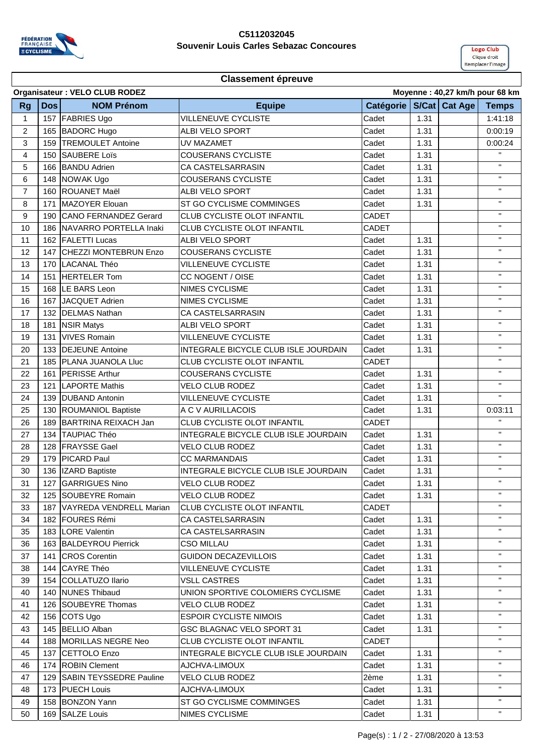

#### **C5112032045 Souvenir Louis Carles Sebazac Concoures**



|                |            | Organisateur : VELO CLUB RODEZ |                                      |              | Moyenne: 40,27 km/h pour 68 km |              |
|----------------|------------|--------------------------------|--------------------------------------|--------------|--------------------------------|--------------|
| <b>Rg</b>      | <b>Dos</b> | <b>NOM Prénom</b>              | <b>Equipe</b>                        |              | Catégorie   S/Cat   Cat Age    | <b>Temps</b> |
| 1              |            | 157 FABRIES Ugo                | VILLENEUVE CYCLISTE                  | Cadet        | 1.31                           | 1:41:18      |
| $\overline{2}$ | 165        | <b>BADORC Hugo</b>             | <b>ALBI VELO SPORT</b>               | Cadet        | 1.31                           | 0:00:19      |
| 3              | 159        | <b>TREMOULET Antoine</b>       | UV MAZAMET                           | Cadet        | 1.31                           | 0:00:24      |
| 4              | 150        | <b>SAUBERE Loïs</b>            | <b>COUSERANS CYCLISTE</b>            | Cadet        | 1.31                           | $\mathbf{H}$ |
| 5              | 166        | <b>BANDU Adrien</b>            | CA CASTELSARRASIN                    | Cadet        | 1.31                           | $\mathbf H$  |
| 6              | 148        | NOWAK Ugo                      | <b>COUSERANS CYCLISTE</b>            | Cadet        | 1.31                           | $\mathbf H$  |
| 7              | 160        | <b>ROUANET Maël</b>            | ALBI VELO SPORT                      | Cadet        | 1.31                           | $\mathbf H$  |
| 8              | 171        | MAZOYER Elouan                 | ST GO CYCLISME COMMINGES             | Cadet        | 1.31                           | $\mathbf H$  |
| 9              | 190        | <b>CANO FERNANDEZ Gerard</b>   | CLUB CYCLISTE OLOT INFANTIL          | <b>CADET</b> |                                | $\mathbf H$  |
| 10             | 186        | NAVARRO PORTELLA Inaki         | CLUB CYCLISTE OLOT INFANTIL          | CADET        |                                | $\mathbf H$  |
| 11             | 162        | <b>FALETTI Lucas</b>           | ALBI VELO SPORT                      | Cadet        | 1.31                           | $\mathbf H$  |
| 12             | 147        | CHEZZI MONTEBRUN Enzo          | <b>COUSERANS CYCLISTE</b>            | Cadet        | 1.31                           | $\mathbf H$  |
| 13             | 170        | LACANAL Théo                   | <b>VILLENEUVE CYCLISTE</b>           | Cadet        | 1.31                           | $\mathbf{H}$ |
| 14             | 151        | <b>HERTELER Tom</b>            | CC NOGENT / OISE                     | Cadet        | 1.31                           | $\mathbf{H}$ |
| 15             | 168        | LE BARS Leon                   | <b>NIMES CYCLISME</b>                | Cadet        | 1.31                           | $\mathbf H$  |
| 16             | 167        | JACQUET Adrien                 | NIMES CYCLISME                       | Cadet        | 1.31                           | $\mathbf H$  |
| 17             | 132        | <b>DELMAS Nathan</b>           | <b>CA CASTELSARRASIN</b>             | Cadet        | 1.31                           | $\mathbf{H}$ |
| 18             | 181        | <b>NSIR Matys</b>              | ALBI VELO SPORT                      | Cadet        | 1.31                           | $\mathbf H$  |
| 19             | 131        | <b>VIVES Romain</b>            | <b>VILLENEUVE CYCLISTE</b>           | Cadet        | 1.31                           | $\mathbf{H}$ |
| 20             | 133        | <b>DEJEUNE Antoine</b>         | INTEGRALE BICYCLE CLUB ISLE JOURDAIN | Cadet        | 1.31                           | $\mathbf H$  |
| 21             | 185        | <b>PLANA JUANOLA Lluc</b>      | <b>CLUB CYCLISTE OLOT INFANTIL</b>   | <b>CADET</b> |                                | $\mathbf H$  |
| 22             | 161        | <b>PERISSE Arthur</b>          | <b>COUSERANS CYCLISTE</b>            | Cadet        | 1.31                           | $\mathbf H$  |
| 23             | 121        | <b>LAPORTE Mathis</b>          | <b>VELO CLUB RODEZ</b>               | Cadet        | 1.31                           | $\mathbf{H}$ |
| 24             | 139        | <b>DUBAND Antonin</b>          | <b>VILLENEUVE CYCLISTE</b>           | Cadet        | 1.31                           | $\mathbf{H}$ |
| 25             | 130        | <b>ROUMANIOL Baptiste</b>      | A C V AURILLACOIS                    | Cadet        | 1.31                           | 0:03:11      |
| 26             | 189        | BARTRINA REIXACH Jan           | CLUB CYCLISTE OLOT INFANTIL          | <b>CADET</b> |                                | $\mathbf{H}$ |
| 27             | 134        | <b>TAUPIAC Théo</b>            | INTEGRALE BICYCLE CLUB ISLE JOURDAIN | Cadet        | 1.31                           | $\mathbf H$  |
| 28             | 128        | <b>FRAYSSE Gael</b>            | <b>VELO CLUB RODEZ</b>               | Cadet        | 1.31                           | $\mathbf H$  |
| 29             | 179        | <b>PICARD Paul</b>             | <b>CC MARMANDAIS</b>                 | Cadet        | 1.31                           | $\mathbf H$  |
| 30             | 136        | IZARD Baptiste                 | INTEGRALE BICYCLE CLUB ISLE JOURDAIN | Cadet        | 1.31                           | $\mathbf H$  |
| 31             | 127        | <b>GARRIGUES Nino</b>          | <b>VELO CLUB RODEZ</b>               | Cadet        | 1.31                           | $\mathbf H$  |
| 32             |            | 125 SOUBEYRE Romain            | <b>VELO CLUB RODEZ</b>               | Cadet        | 1.31                           | $\mathbf H$  |
| 33             |            | 187 VAYREDA VENDRELL Marian    | CLUB CYCLISTE OLOT INFANTIL          | CADET        |                                | $\mathbf{H}$ |
| 34             |            | 182 FOURES Rémi                | CA CASTELSARRASIN                    | Cadet        | 1.31                           | $\mathbf{H}$ |
| 35             |            | 183 LORE Valentin              | CA CASTELSARRASIN                    | Cadet        | 1.31                           | $\mathbf H$  |
| 36             |            | 163 BALDEYROU Pierrick         | <b>CSO MILLAU</b>                    | Cadet        | 1.31                           | $\mathbf{H}$ |
| 37             | 141        | <b>CROS Corentin</b>           | <b>GUIDON DECAZEVILLOIS</b>          | Cadet        | 1.31                           | $\mathbf H$  |
| 38             | 144        | <b>CAYRE Théo</b>              | <b>VILLENEUVE CYCLISTE</b>           | Cadet        | 1.31                           | $\mathbf{H}$ |
| 39             |            | 154 COLLATUZO Ilario           | <b>VSLL CASTRES</b>                  | Cadet        | 1.31                           | $\mathbf H$  |
| 40             |            | 140 <b>INUNES</b> Thibaud      | UNION SPORTIVE COLOMIERS CYCLISME    | Cadet        | 1.31                           | $\mathbf{H}$ |
| 41             | 126        | SOUBEYRE Thomas                | <b>VELO CLUB RODEZ</b>               | Cadet        | 1.31                           | $\mathbf{H}$ |
| 42             |            | 156 COTS Ugo                   | <b>ESPOIR CYCLISTE NIMOIS</b>        | Cadet        | 1.31                           | $\mathbf{H}$ |
| 43             |            | 145 BELLIO Alban               | GSC BLAGNAC VELO SPORT 31            | Cadet        | 1.31                           | $\mathbf{H}$ |
| 44             | 188        | MORILLAS NEGRE Neo             | CLUB CYCLISTE OLOT INFANTIL          | <b>CADET</b> |                                | $\mathbf{H}$ |
| 45             | 137        | CETTOLO Enzo                   | INTEGRALE BICYCLE CLUB ISLE JOURDAIN | Cadet        | 1.31                           | $\mathbf{H}$ |
| 46             | 174        | <b>ROBIN Clement</b>           | AJCHVA-LIMOUX                        | Cadet        | 1.31                           | $\mathbf H$  |
| 47             | 129        | <b>SABIN TEYSSEDRE Pauline</b> | <b>VELO CLUB RODEZ</b>               | 2ème         | 1.31                           | $\mathbf H$  |
| 48             |            | 173 PUECH Louis                | AJCHVA-LIMOUX                        | Cadet        | 1.31                           | $\mathbf{H}$ |
| 49             |            | 158 BONZON Yann                | ST GO CYCLISME COMMINGES             | Cadet        | 1.31                           | $\mathbf H$  |
| 50             |            | 169 SALZE Louis                | NIMES CYCLISME                       | Cadet        | 1.31                           | $\mathbf H$  |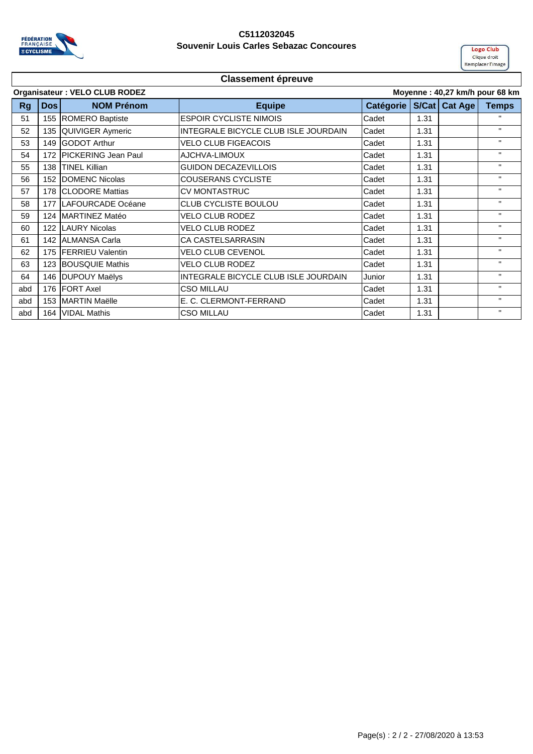

#### **C5112032045 Souvenir Louis Carles Sebazac Concoures**



| S/Cat   Cat Age  <br><b>Catégorie</b><br><b>NOM Prénom</b><br><b>Equipe</b><br>Dos<br><b>Rg</b><br>155 ROMERO Baptiste<br><b>ESPOIR CYCLISTE NIMOIS</b><br>Cadet<br>$\mathbf{H}$<br>1.31<br>51<br>$\mathbf{H}$<br>135 QUIVIGER Aymeric<br>INTEGRALE BICYCLE CLUB ISLE JOURDAIN<br>Cadet<br>1.31<br>52<br>$\mathbf{H}$<br>149 GODOT Arthur<br><b>VELO CLUB FIGEACOIS</b><br>Cadet<br>1.31<br>53<br>$\mathbf{H}$<br>172 PICKERING Jean Paul<br>AJCHVA-LIMOUX<br>54<br>Cadet<br>1.31<br>$\mathbf{H}$<br>138 TINEL Killian<br><b>GUIDON DECAZEVILLOIS</b><br>Cadet<br>1.31<br>55<br>$\mathbf{H}$<br>152 DOMENC Nicolas<br><b>COUSERANS CYCLISTE</b><br>Cadet<br>56<br>1.31<br>$\mathbf{H}$<br>57<br>178 CLODORE Mattias<br><b>CV MONTASTRUC</b><br>Cadet<br>1.31<br>$\mathbf{H}$<br>177 LAFOURCADE Océane<br><b>CLUB CYCLISTE BOULOU</b><br>Cadet<br>58<br>1.31<br>$\mathbf{H}$<br>124 MARTINEZ Matéo<br>Cadet<br>59<br><b>VELO CLUB RODEZ</b><br>1.31<br>$\mathbf{H}$<br>122 LAURY Nicolas<br><b>VELO CLUB RODEZ</b><br>Cadet<br>1.31<br>60<br>$\mathbf{H}$<br>Cadet<br>61<br>142 ALMANSA Carla<br><b>CA CASTELSARRASIN</b><br>1.31<br>$\mathbf{H}$<br>Cadet<br>62<br>175 <b>IFERRIEU</b> Valentin<br><b>VELO CLUB CEVENOL</b><br>1.31<br>$\mathbf{H}$<br><b>VELO CLUB RODEZ</b><br>63<br>123 BOUSQUIE Mathis<br>Cadet<br>1.31<br>$\mathbf{H}$<br>146 DUPOUY Maëlys<br>INTEGRALE BICYCLE CLUB ISLE JOURDAIN<br>64<br>Junior<br>1.31<br>$\mathbf{H}$<br>176 FORT Axel<br><b>CSO MILLAU</b><br>Cadet<br>1.31<br>abd<br>$\mathbf{H}$<br>E. C. CLERMONT-FERRAND<br>Cadet<br>153 MARTIN Maëlle<br>1.31<br>abd<br>$\mathbf{H}$<br>164 VIDAL Mathis |     | Organisateur : VELO CLUB RODEZ<br>Moyenne: 40,27 km/h pour 68 km |  |                   |       |      |  |              |  |
|-------------------------------------------------------------------------------------------------------------------------------------------------------------------------------------------------------------------------------------------------------------------------------------------------------------------------------------------------------------------------------------------------------------------------------------------------------------------------------------------------------------------------------------------------------------------------------------------------------------------------------------------------------------------------------------------------------------------------------------------------------------------------------------------------------------------------------------------------------------------------------------------------------------------------------------------------------------------------------------------------------------------------------------------------------------------------------------------------------------------------------------------------------------------------------------------------------------------------------------------------------------------------------------------------------------------------------------------------------------------------------------------------------------------------------------------------------------------------------------------------------------------------------------------------------------------------------------------------------------------------------------------|-----|------------------------------------------------------------------|--|-------------------|-------|------|--|--------------|--|
|                                                                                                                                                                                                                                                                                                                                                                                                                                                                                                                                                                                                                                                                                                                                                                                                                                                                                                                                                                                                                                                                                                                                                                                                                                                                                                                                                                                                                                                                                                                                                                                                                                           |     |                                                                  |  |                   |       |      |  | <b>Temps</b> |  |
|                                                                                                                                                                                                                                                                                                                                                                                                                                                                                                                                                                                                                                                                                                                                                                                                                                                                                                                                                                                                                                                                                                                                                                                                                                                                                                                                                                                                                                                                                                                                                                                                                                           |     |                                                                  |  |                   |       |      |  |              |  |
|                                                                                                                                                                                                                                                                                                                                                                                                                                                                                                                                                                                                                                                                                                                                                                                                                                                                                                                                                                                                                                                                                                                                                                                                                                                                                                                                                                                                                                                                                                                                                                                                                                           |     |                                                                  |  |                   |       |      |  |              |  |
|                                                                                                                                                                                                                                                                                                                                                                                                                                                                                                                                                                                                                                                                                                                                                                                                                                                                                                                                                                                                                                                                                                                                                                                                                                                                                                                                                                                                                                                                                                                                                                                                                                           |     |                                                                  |  |                   |       |      |  |              |  |
|                                                                                                                                                                                                                                                                                                                                                                                                                                                                                                                                                                                                                                                                                                                                                                                                                                                                                                                                                                                                                                                                                                                                                                                                                                                                                                                                                                                                                                                                                                                                                                                                                                           |     |                                                                  |  |                   |       |      |  |              |  |
|                                                                                                                                                                                                                                                                                                                                                                                                                                                                                                                                                                                                                                                                                                                                                                                                                                                                                                                                                                                                                                                                                                                                                                                                                                                                                                                                                                                                                                                                                                                                                                                                                                           |     |                                                                  |  |                   |       |      |  |              |  |
|                                                                                                                                                                                                                                                                                                                                                                                                                                                                                                                                                                                                                                                                                                                                                                                                                                                                                                                                                                                                                                                                                                                                                                                                                                                                                                                                                                                                                                                                                                                                                                                                                                           |     |                                                                  |  |                   |       |      |  |              |  |
|                                                                                                                                                                                                                                                                                                                                                                                                                                                                                                                                                                                                                                                                                                                                                                                                                                                                                                                                                                                                                                                                                                                                                                                                                                                                                                                                                                                                                                                                                                                                                                                                                                           |     |                                                                  |  |                   |       |      |  |              |  |
|                                                                                                                                                                                                                                                                                                                                                                                                                                                                                                                                                                                                                                                                                                                                                                                                                                                                                                                                                                                                                                                                                                                                                                                                                                                                                                                                                                                                                                                                                                                                                                                                                                           |     |                                                                  |  |                   |       |      |  |              |  |
|                                                                                                                                                                                                                                                                                                                                                                                                                                                                                                                                                                                                                                                                                                                                                                                                                                                                                                                                                                                                                                                                                                                                                                                                                                                                                                                                                                                                                                                                                                                                                                                                                                           |     |                                                                  |  |                   |       |      |  |              |  |
|                                                                                                                                                                                                                                                                                                                                                                                                                                                                                                                                                                                                                                                                                                                                                                                                                                                                                                                                                                                                                                                                                                                                                                                                                                                                                                                                                                                                                                                                                                                                                                                                                                           |     |                                                                  |  |                   |       |      |  |              |  |
|                                                                                                                                                                                                                                                                                                                                                                                                                                                                                                                                                                                                                                                                                                                                                                                                                                                                                                                                                                                                                                                                                                                                                                                                                                                                                                                                                                                                                                                                                                                                                                                                                                           |     |                                                                  |  |                   |       |      |  |              |  |
|                                                                                                                                                                                                                                                                                                                                                                                                                                                                                                                                                                                                                                                                                                                                                                                                                                                                                                                                                                                                                                                                                                                                                                                                                                                                                                                                                                                                                                                                                                                                                                                                                                           |     |                                                                  |  |                   |       |      |  |              |  |
|                                                                                                                                                                                                                                                                                                                                                                                                                                                                                                                                                                                                                                                                                                                                                                                                                                                                                                                                                                                                                                                                                                                                                                                                                                                                                                                                                                                                                                                                                                                                                                                                                                           |     |                                                                  |  |                   |       |      |  |              |  |
|                                                                                                                                                                                                                                                                                                                                                                                                                                                                                                                                                                                                                                                                                                                                                                                                                                                                                                                                                                                                                                                                                                                                                                                                                                                                                                                                                                                                                                                                                                                                                                                                                                           |     |                                                                  |  |                   |       |      |  |              |  |
|                                                                                                                                                                                                                                                                                                                                                                                                                                                                                                                                                                                                                                                                                                                                                                                                                                                                                                                                                                                                                                                                                                                                                                                                                                                                                                                                                                                                                                                                                                                                                                                                                                           |     |                                                                  |  |                   |       |      |  |              |  |
|                                                                                                                                                                                                                                                                                                                                                                                                                                                                                                                                                                                                                                                                                                                                                                                                                                                                                                                                                                                                                                                                                                                                                                                                                                                                                                                                                                                                                                                                                                                                                                                                                                           |     |                                                                  |  |                   |       |      |  |              |  |
|                                                                                                                                                                                                                                                                                                                                                                                                                                                                                                                                                                                                                                                                                                                                                                                                                                                                                                                                                                                                                                                                                                                                                                                                                                                                                                                                                                                                                                                                                                                                                                                                                                           | abd |                                                                  |  | <b>CSO MILLAU</b> | Cadet | 1.31 |  |              |  |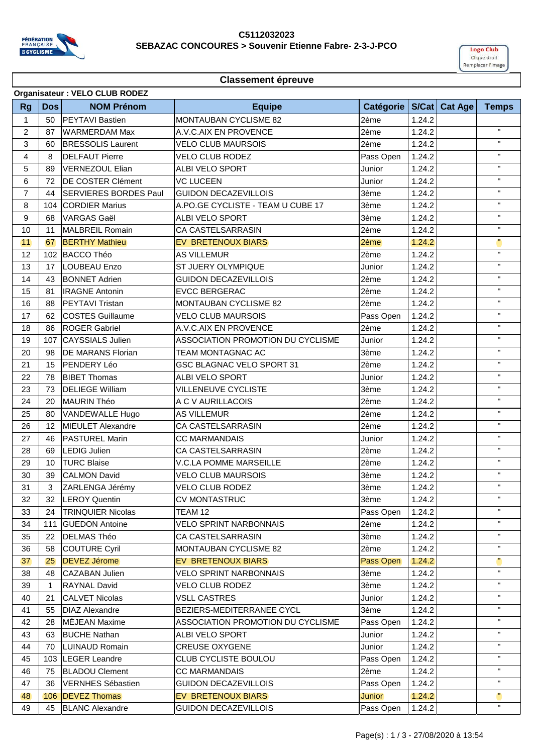

#### **C5112032023 SEBAZAC CONCOURES > Souvenir Etienne Fabre- 2-3-J-PCO**



|                |                | Organisateur : VELO CLUB RODEZ |                                   |               |        |                 |              |
|----------------|----------------|--------------------------------|-----------------------------------|---------------|--------|-----------------|--------------|
| <b>Rg</b>      | <b>Dos</b>     | <b>NOM Prénom</b>              | <b>Equipe</b>                     | Catégorie     |        | S/Cat   Cat Age | <b>Temps</b> |
| 1              | 50             | <b>IPEYTAVI Bastien</b>        | <b>MONTAUBAN CYCLISME 82</b>      | 2ème          | 1.24.2 |                 |              |
| $\overline{2}$ | 87             | <b>WARMERDAM Max</b>           | A.V.C.AIX EN PROVENCE             | 2ème          | 1.24.2 |                 | $\mathbf H$  |
| 3              | 60             | <b>BRESSOLIS Laurent</b>       | <b>VELO CLUB MAURSOIS</b>         | 2ème          | 1.24.2 |                 | $\mathbf H$  |
| 4              | 8              | <b>DELFAUT Pierre</b>          | <b>VELO CLUB RODEZ</b>            | Pass Open     | 1.24.2 |                 | $\mathbf{H}$ |
| 5              | 89             | VERNEZOUL Elian                | <b>ALBI VELO SPORT</b>            | Junior        | 1.24.2 |                 | $\mathbf{H}$ |
| 6              | 72             | DE COSTER Clément              | <b>VC LUCEEN</b>                  | Junior        | 1.24.2 |                 | $\mathbf H$  |
| $\overline{7}$ | 44             | <b>SERVIERES BORDES Paul</b>   | <b>GUIDON DECAZEVILLOIS</b>       | 3ème          | 1.24.2 |                 | $\mathbf H$  |
| 8              | 104            | <b>CORDIER Marius</b>          | A.PO.GE CYCLISTE - TEAM U CUBE 17 | 3ème          | 1.24.2 |                 | $\mathbf H$  |
| 9              | 68             | <b>VARGAS Gaël</b>             | <b>ALBI VELO SPORT</b>            | 3ème          | 1.24.2 |                 | $\mathbf{H}$ |
| 10             | 11             | MALBREIL Romain                | CA CASTELSARRASIN                 | 2ème          | 1.24.2 |                 | $\mathbf H$  |
| 11             | 67             | <b>BERTHY Mathieu</b>          | EV BRETENOUX BIARS                | 2ème          | 1.24.2 |                 | $\mathbf{u}$ |
| 12             | 102            | BACCO Théo                     | <b>AS VILLEMUR</b>                | 2ème          | 1.24.2 |                 | H.           |
| 13             | 17             | <b>LOUBEAU Enzo</b>            | <b>ST JUERY OLYMPIQUE</b>         | Junior        | 1.24.2 |                 | $\mathbf{H}$ |
| 14             | 43             | <b>BONNET Adrien</b>           | <b>GUIDON DECAZEVILLOIS</b>       | 2ème          | 1.24.2 |                 | $\mathbf H$  |
| 15             | 81             | <b>IRAGNE Antonin</b>          | <b>EVCC BERGERAC</b>              | 2ème          | 1.24.2 |                 | $\mathbf{H}$ |
| 16             | 88             | <b>PEYTAVI Tristan</b>         | MONTAUBAN CYCLISME 82             | 2ème          | 1.24.2 |                 | $\mathbf{H}$ |
| 17             | 62             | <b>COSTES Guillaume</b>        | <b>VELO CLUB MAURSOIS</b>         | Pass Open     | 1.24.2 |                 | $\mathbf{H}$ |
| 18             | 86             | <b>ROGER Gabriel</b>           | A.V.C.AIX EN PROVENCE             | 2ème          | 1.24.2 |                 | $\mathbf{H}$ |
| 19             | 107            | <b>CAYSSIALS Julien</b>        | ASSOCIATION PROMOTION DU CYCLISME | Junior        | 1.24.2 |                 | $\mathbf{H}$ |
| 20             | 98             | <b>DE MARANS Florian</b>       | TEAM MONTAGNAC AC                 | 3ème          | 1.24.2 |                 | $\mathbf{H}$ |
| 21             | 15             | PENDERY Léo                    | GSC BLAGNAC VELO SPORT 31         | 2ème          | 1.24.2 |                 | $\mathbf H$  |
| 22             | 78             | <b>BIBET Thomas</b>            | ALBI VELO SPORT                   | Junior        | 1.24.2 |                 | $\mathbf H$  |
| 23             | 73             | <b>DELIEGE William</b>         | <b>VILLENEUVE CYCLISTE</b>        | 3ème          | 1.24.2 |                 | $\mathbf H$  |
| 24             | 20             | <b>MAURIN Théo</b>             | A C V AURILLACOIS                 | 2ème          | 1.24.2 |                 | $\mathbf{H}$ |
| 25             | 80             | VANDEWALLE Hugo                | <b>AS VILLEMUR</b>                | 2ème          | 1.24.2 |                 | $\mathbf{H}$ |
| 26             | 12             | <b>MIEULET Alexandre</b>       | CA CASTELSARRASIN                 | 2ème          | 1.24.2 |                 | $\mathbf H$  |
| 27             | 46             | <b>PASTUREL Marin</b>          | <b>CC MARMANDAIS</b>              | Junior        | 1.24.2 |                 | $\mathbf H$  |
| 28             | 69             | <b>LEDIG Julien</b>            | CA CASTELSARRASIN                 | 2ème          | 1.24.2 |                 | $\mathbf{H}$ |
| 29             | 10             | <b>TURC Blaise</b>             | <b>V.C.LA POMME MARSEILLE</b>     | 2ème          | 1.24.2 |                 | $\mathbf{H}$ |
| 30             | 39             | <b>CALMON David</b>            | <b>VELO CLUB MAURSOIS</b>         | 3ème          | 1.24.2 |                 | $\mathbf{H}$ |
| 31             | 3 <sup>1</sup> | ZARLENGA Jérémy                | VELO CLUB RODEZ                   | 3ème          | 1.24.2 |                 | $\mathbf{H}$ |
| 32             |                | 32 ILEROY Quentin              | <b>CV MONTASTRUC</b>              | 3ème          | 1.24.2 |                 | $\mathbf{H}$ |
| 33             | 24             | <b>TRINQUIER Nicolas</b>       | TEAM 12                           | Pass Open     | 1.24.2 |                 | Η.           |
| 34             | 111            | <b>GUEDON Antoine</b>          | <b>VELO SPRINT NARBONNAIS</b>     | 2ème          | 1.24.2 |                 | $\mathbf{H}$ |
| 35             | 22             | <b>DELMAS Théo</b>             | CA CASTELSARRASIN                 | 3ème          | 1.24.2 |                 | $\mathbf{H}$ |
| 36             | 58             | <b>COUTURE Cyril</b>           | MONTAUBAN CYCLISME 82             | 2ème          | 1.24.2 |                 | H.           |
| 37             | 25             | <b>DEVEZ Jérome</b>            | <b>EV BRETENOUX BIARS</b>         | Pass Open     | 1.24.2 |                 | щ            |
| 38             | 48             | <b>CAZABAN Julien</b>          | <b>VELO SPRINT NARBONNAIS</b>     | 3ème          | 1.24.2 |                 | $\mathbf{H}$ |
| 39             | $\mathbf{1}$   | <b>RAYNAL David</b>            | VELO CLUB RODEZ                   | 3ème          | 1.24.2 |                 | $\mathbf{H}$ |
| 40             | 21             | <b>CALVET Nicolas</b>          | <b>VSLL CASTRES</b>               | Junior        | 1.24.2 |                 | $\mathbf{H}$ |
| 41             | 55             | <b>DIAZ Alexandre</b>          | BEZIERS-MEDITERRANEE CYCL         | 3ème          | 1.24.2 |                 | $\mathbf{H}$ |
| 42             | 28             | MÉJEAN Maxime                  | ASSOCIATION PROMOTION DU CYCLISME | Pass Open     | 1.24.2 |                 | $\mathbf{H}$ |
| 43             | 63             | <b>BUCHE Nathan</b>            | ALBI VELO SPORT                   | Junior        | 1.24.2 |                 | $\mathbf{H}$ |
| 44             | 70             | <b>LUINAUD Romain</b>          | <b>CREUSE OXYGENE</b>             | Junior        | 1.24.2 |                 | H.           |
| 45             |                | 103 LEGER Leandre              | CLUB CYCLISTE BOULOU              | Pass Open     | 1.24.2 |                 | $\mathbf{H}$ |
| 46             | 75             | <b>BLADOU Clement</b>          | <b>CC MARMANDAIS</b>              | 2ème          | 1.24.2 |                 | $\mathbf{H}$ |
| 47             | 36             | <b>VERNHES Sébastien</b>       | <b>GUIDON DECAZEVILLOIS</b>       | Pass Open     | 1.24.2 |                 | $\mathbf{H}$ |
| 48             | 106            | <b>DEVEZ Thomas</b>            | <b>EV BRETENOUX BIARS</b>         | <b>Junior</b> | 1.24.2 |                 | щ            |
| 49             | 45             | <b>BLANC Alexandre</b>         | <b>GUIDON DECAZEVILLOIS</b>       | Pass Open     | 1.24.2 |                 | $\mathbf{H}$ |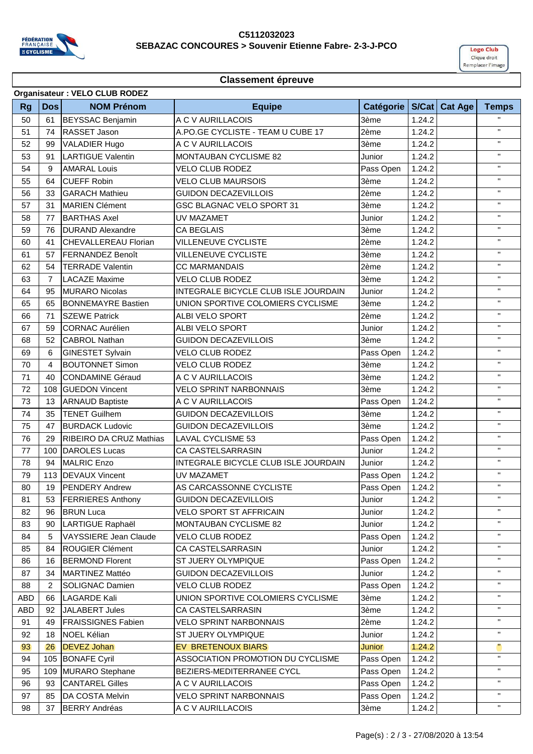

#### **C5112032023 SEBAZAC CONCOURES > Souvenir Etienne Fabre- 2-3-J-PCO**



|            |                | Organisateur : VELO CLUB RODEZ |                                      |               |        |                 |              |
|------------|----------------|--------------------------------|--------------------------------------|---------------|--------|-----------------|--------------|
| <b>Rg</b>  | <b>Dos</b>     | <b>NOM Prénom</b>              | <b>Equipe</b>                        | Catégorie     |        | S/Cat   Cat Age | <b>Temps</b> |
| 50         | 61             | <b>BEYSSAC Benjamin</b>        | A C V AURILLACOIS                    | 3ème          | 1.24.2 |                 |              |
| 51         | 74             | RASSET Jason                   | A.PO.GE CYCLISTE - TEAM U CUBE 17    | 2ème          | 1.24.2 |                 | $\mathbf{H}$ |
| 52         | 99             | VALADIER Hugo                  | A C V AURILLACOIS                    | 3ème          | 1.24.2 |                 | $\mathbf{H}$ |
| 53         | 91             | <b>LARTIGUE Valentin</b>       | <b>MONTAUBAN CYCLISME 82</b>         | Junior        | 1.24.2 |                 | $\mathbf H$  |
| 54         | 9              | <b>AMARAL Louis</b>            | <b>VELO CLUB RODEZ</b>               | Pass Open     | 1.24.2 |                 | $\mathbf H$  |
| 55         | 64             | <b>CUEFF Robin</b>             | <b>VELO CLUB MAURSOIS</b>            | 3ème          | 1.24.2 |                 | $\mathbf{H}$ |
| 56         | 33             | <b>GARACH Mathieu</b>          | <b>GUIDON DECAZEVILLOIS</b>          | 2ème          | 1.24.2 |                 | $\mathbf{H}$ |
| 57         | 31             | <b>MARIEN Clément</b>          | GSC BLAGNAC VELO SPORT 31            | 3ème          | 1.24.2 |                 | $\mathbf{H}$ |
| 58         | 77             | <b>BARTHAS Axel</b>            | UV MAZAMET                           | Junior        | 1.24.2 |                 | $\mathbf{H}$ |
| 59         | 76             | <b>DURAND Alexandre</b>        | <b>CA BEGLAIS</b>                    | 3ème          | 1.24.2 |                 | $\mathbf{H}$ |
| 60         | 41             | <b>ICHEVALLEREAU Florian</b>   | <b>VILLENEUVE CYCLISTE</b>           | 2ème          | 1.24.2 |                 | $\mathbf H$  |
| 61         | 57             | <b>FERNANDEZ Benoît</b>        | <b>VILLENEUVE CYCLISTE</b>           | 3ème          | 1.24.2 |                 | H.           |
| 62         | 54             | <b>TERRADE Valentin</b>        | <b>CC MARMANDAIS</b>                 | 2ème          | 1.24.2 |                 | $\mathbf H$  |
| 63         | $\overline{7}$ | <b>LACAZE Maxime</b>           | <b>VELO CLUB RODEZ</b>               | 3ème          | 1.24.2 |                 | $\mathbf{H}$ |
| 64         | 95             | <b>MURARO Nicolas</b>          | INTEGRALE BICYCLE CLUB ISLE JOURDAIN | Junior        | 1.24.2 |                 | $\mathbf{H}$ |
| 65         | 65             | <b>BONNEMAYRE Bastien</b>      | UNION SPORTIVE COLOMIERS CYCLISME    | 3ème          | 1.24.2 |                 | $\mathbf{H}$ |
| 66         | 71             | <b>SZEWE Patrick</b>           | <b>ALBI VELO SPORT</b>               | 2ème          | 1.24.2 |                 | $\mathbf{H}$ |
| 67         | 59             | <b>CORNAC Aurélien</b>         | <b>ALBI VELO SPORT</b>               | Junior        | 1.24.2 |                 | $\mathbf{H}$ |
| 68         | 52             | <b>CABROL Nathan</b>           | <b>GUIDON DECAZEVILLOIS</b>          | 3ème          | 1.24.2 |                 | $\mathbf{H}$ |
| 69         | 6              | <b>GINESTET Sylvain</b>        | <b>VELO CLUB RODEZ</b>               | Pass Open     | 1.24.2 |                 | $\mathbf H$  |
| 70         | 4              | <b>BOUTONNET Simon</b>         | <b>VELO CLUB RODEZ</b>               | 3ème          | 1.24.2 |                 | $\mathbf{H}$ |
| 71         | 40             | <b>CONDAMINE Géraud</b>        | A C V AURILLACOIS                    | 3ème          | 1.24.2 |                 | $\mathbf{H}$ |
| 72         | 108            | <b>GUEDON Vincent</b>          | <b>VELO SPRINT NARBONNAIS</b>        | 3ème          | 1.24.2 |                 | $\mathbf{H}$ |
| 73         | 13             | <b>ARNAUD Baptiste</b>         | A C V AURILLACOIS                    | Pass Open     | 1.24.2 |                 | $\mathbf{H}$ |
| 74         | 35             | <b>TENET Guilhem</b>           | <b>GUIDON DECAZEVILLOIS</b>          | 3ème          | 1.24.2 |                 | $\mathbf{H}$ |
| 75         | 47             | <b>BURDACK Ludovic</b>         | <b>GUIDON DECAZEVILLOIS</b>          | 3ème          | 1.24.2 |                 | $\mathbf{H}$ |
| 76         | 29             | RIBEIRO DA CRUZ Mathias        | <b>LAVAL CYCLISME 53</b>             | Pass Open     | 1.24.2 |                 | $\mathbf{H}$ |
| 77         | 100            | <b>DAROLES Lucas</b>           | CA CASTELSARRASIN                    | Junior        | 1.24.2 |                 | H.           |
| 78         | 94             | <b>MALRIC Enzo</b>             | INTEGRALE BICYCLE CLUB ISLE JOURDAIN | Junior        | 1.24.2 |                 | $\mathbf H$  |
| 79         | 113            | <b>DEVAUX Vincent</b>          | UV MAZAMET                           | Pass Open     | 1.24.2 |                 | $\mathbf{H}$ |
| 80         | 19             | <b>PENDERY Andrew</b>          | AS CARCASSONNE CYCLISTE              | Pass Open     | 1.24.2 |                 | $\mathbf{H}$ |
| 81         | 53             | <b>FERRIERES Anthony</b>       | <b>GUIDON DECAZEVILLOIS</b>          | Junior        | 1.24.2 |                 | $\mathbf H$  |
| 82         | 96             | <b>BRUN Luca</b>               | <b>VELO SPORT ST AFFRICAIN</b>       | Junior        | 1.24.2 |                 | H.           |
| 83         | 90             | LARTIGUE Raphaël               | MONTAUBAN CYCLISME 82                | Junior        | 1.24.2 |                 | $\mathbf{H}$ |
| 84         | 5              | VAYSSIERE Jean Claude          | <b>VELO CLUB RODEZ</b>               | Pass Open     | 1.24.2 |                 | $\mathbf{H}$ |
| 85         | 84             | <b>ROUGIER Clément</b>         | CA CASTELSARRASIN                    | Junior        | 1.24.2 |                 | $\mathbf{H}$ |
| 86         | 16             | <b>BERMOND Florent</b>         | ST JUERY OLYMPIQUE                   | Pass Open     | 1.24.2 |                 | Η.           |
| 87         | 34             | MARTINEZ Mattéo                | <b>GUIDON DECAZEVILLOIS</b>          | Junior        | 1.24.2 |                 | $\mathbf{H}$ |
| 88         | $\overline{2}$ | <b>SOLIGNAC Damien</b>         | VELO CLUB RODEZ                      | Pass Open     | 1.24.2 |                 | $\mathbf{H}$ |
| <b>ABD</b> | 66             | <b>LAGARDE Kali</b>            | UNION SPORTIVE COLOMIERS CYCLISME    | 3ème          | 1.24.2 |                 | $\mathbf H$  |
| <b>ABD</b> | 92             | JALABERT Jules                 | CA CASTELSARRASIN                    | 3ème          | 1.24.2 |                 | $\mathbf{H}$ |
| 91         | 49             | <b>FRAISSIGNES Fabien</b>      | <b>VELO SPRINT NARBONNAIS</b>        | 2ème          | 1.24.2 |                 | $\mathbf H$  |
| 92         | 18             | <b>NOEL Kélian</b>             | ST JUERY OLYMPIQUE                   | Junior        | 1.24.2 |                 | $\mathbf H$  |
| 93         | 26             | <b>DEVEZ Johan</b>             | EV BRETENOUX BIARS                   | <b>Junior</b> | 1.24.2 |                 | $\mathbf{u}$ |
| 94         |                | 105 BONAFE Cyril               | ASSOCIATION PROMOTION DU CYCLISME    | Pass Open     | 1.24.2 |                 | $\mathbf{H}$ |
| 95         | 109            | <b>MURARO</b> Stephane         | BEZIERS-MEDITERRANEE CYCL            | Pass Open     | 1.24.2 |                 | $\mathbf{H}$ |
| 96         | 93             | <b>CANTAREL Gilles</b>         | A C V AURILLACOIS                    | Pass Open     | 1.24.2 |                 | $\mathbf{H}$ |
| 97         | 85             | DA COSTA Melvin                | <b>VELO SPRINT NARBONNAIS</b>        | Pass Open     | 1.24.2 |                 | $\mathbf{H}$ |
| 98         | 37             | <b>BERRY Andréas</b>           | A C V AURILLACOIS                    | 3ème          | 1.24.2 |                 | $\mathbf{H}$ |